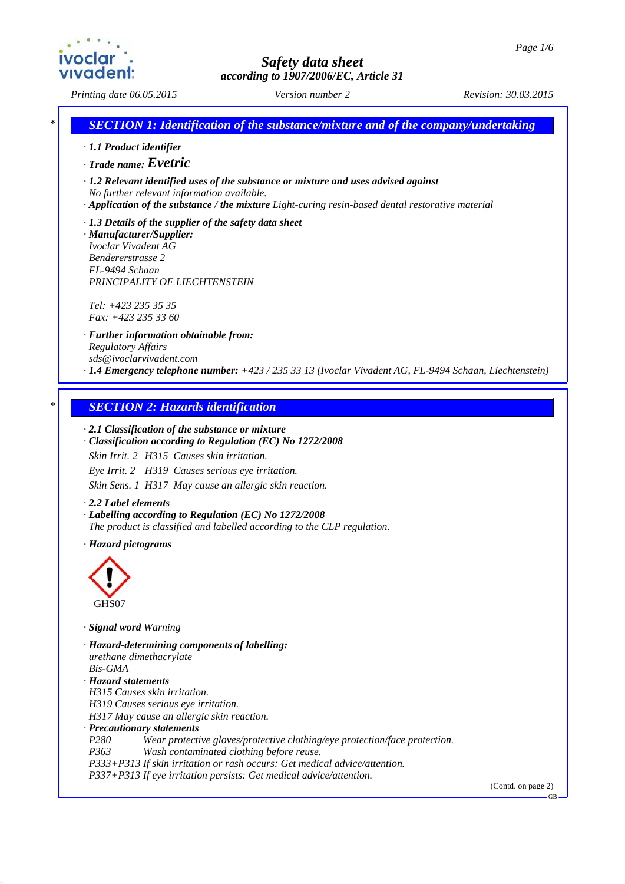*Printing date 06.05.2015 Revision: 30.03.2015 Version number 2*

*\* SECTION 1: Identification of the substance/mixture and of the company/undertaking*

- *· 1.1 Product identifier*
- *· Trade name: Evetric*

*· 1.2 Relevant identified uses of the substance or mixture and uses advised against No further relevant information available.*

- *· Application of the substance / the mixture Light-curing resin-based dental restorative material*
- *· 1.3 Details of the supplier of the safety data sheet*
- *· Manufacturer/Supplier: Ivoclar Vivadent AG Bendererstrasse 2 FL-9494 Schaan PRINCIPALITY OF LIECHTENSTEIN*

*Tel: +423 235 35 35 Fax: +423 235 33 60*

*· Further information obtainable from: Regulatory Affairs sds@ivoclarvivadent.com · 1.4 Emergency telephone number: +423 / 235 33 13 (Ivoclar Vivadent AG, FL-9494 Schaan, Liechtenstein)*

### *\* SECTION 2: Hazards identification*

### *· 2.1 Classification of the substance or mixture*

*· Classification according to Regulation (EC) No 1272/2008*

*Skin Irrit. 2 H315 Causes skin irritation.*

*Eye Irrit. 2 H319 Causes serious eye irritation.*

*Skin Sens. 1 H317 May cause an allergic skin reaction.*

#### *· 2.2 Label elements*

*· Labelling according to Regulation (EC) No 1272/2008 The product is classified and labelled according to the CLP regulation.*

*· Hazard pictograms*



*· Signal word Warning*

*· Hazard-determining components of labelling: urethane dimethacrylate Bis-GMA · Hazard statements H315 Causes skin irritation. H319 Causes serious eye irritation. H317 May cause an allergic skin reaction. · Precautionary statements P280 Wear protective gloves/protective clothing/eye protection/face protection. P363 Wash contaminated clothing before reuse. P333+P313 If skin irritation or rash occurs: Get medical advice/attention. P337+P313 If eye irritation persists: Get medical advice/attention.*

(Contd. on page 2)

GB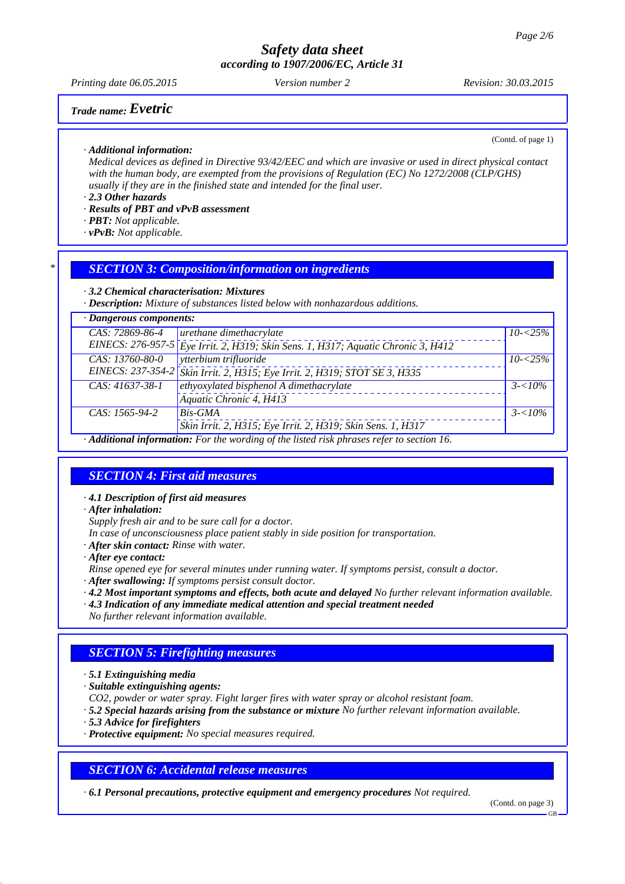*Printing date 06.05.2015 Revision: 30.03.2015 Version number 2*

# *Trade name: Evetric*

(Contd. of page 1)

*· Additional information:*

*Medical devices as defined in Directive 93/42/EEC and which are invasive or used in direct physical contact with the human body, are exempted from the provisions of Regulation (EC) No 1272/2008 (CLP/GHS) usually if they are in the finished state and intended for the final user.*

*· 2.3 Other hazards*

- *· Results of PBT and vPvB assessment*
- *· PBT: Not applicable.*
- *· vPvB: Not applicable.*

### *\* SECTION 3: Composition/information on ingredients*

*· 3.2 Chemical characterisation: Mixtures*

*· Description: Mixture of substances listed below with nonhazardous additions.*

| $\cdot$ Dangerous components:                                                             |                                                                                     |             |  |
|-------------------------------------------------------------------------------------------|-------------------------------------------------------------------------------------|-------------|--|
| CAS: 72869-86-4                                                                           | urethane dimethacrylate                                                             | $10 - 25\%$ |  |
|                                                                                           | EINECS: 276-957-5 $Eye$ Irrit. 2, H319; Skin Sens. 1, H317; Aquatic Chronic 3, H412 |             |  |
| CAS: 13760-80-0                                                                           | vtterbium trifluoride                                                               | $10 - 25\%$ |  |
|                                                                                           | EINECS: 237-354-2 Skin Irrit. 2, H315; Eye Irrit. 2, H319; STOT SE 3, H335          |             |  |
| $CAS: 41637-38-1$                                                                         | ethyoxylated bisphenol A dimethacrylate                                             | $3 - 10\%$  |  |
|                                                                                           | Aquatic Chronic 4, H413                                                             |             |  |
| CAS: 1565-94-2                                                                            | <b>Bis-GMA</b>                                                                      | $3 - 10\%$  |  |
|                                                                                           | Skin Irrit. 2, H315; Eye Irrit. 2, H319; Skin Sens. 1, H317                         |             |  |
| · Additional information: For the wording of the listed risk phrases refer to section 16. |                                                                                     |             |  |

## *SECTION 4: First aid measures*

*· 4.1 Description of first aid measures*

*· After inhalation:*

*Supply fresh air and to be sure call for a doctor.*

*In case of unconsciousness place patient stably in side position for transportation.*

- *· After skin contact: Rinse with water.*
- *· After eye contact:*
- *Rinse opened eye for several minutes under running water. If symptoms persist, consult a doctor.*
- *· After swallowing: If symptoms persist consult doctor.*
- *· 4.2 Most important symptoms and effects, both acute and delayed No further relevant information available.*

*· 4.3 Indication of any immediate medical attention and special treatment needed No further relevant information available.*

### *SECTION 5: Firefighting measures*

- *· 5.1 Extinguishing media*
- *· Suitable extinguishing agents:*
- *CO2, powder or water spray. Fight larger fires with water spray or alcohol resistant foam.*
- *· 5.2 Special hazards arising from the substance or mixture No further relevant information available.*
- *· 5.3 Advice for firefighters*
- *· Protective equipment: No special measures required.*

## *SECTION 6: Accidental release measures*

*· 6.1 Personal precautions, protective equipment and emergency procedures Not required.*

(Contd. on page 3)

GB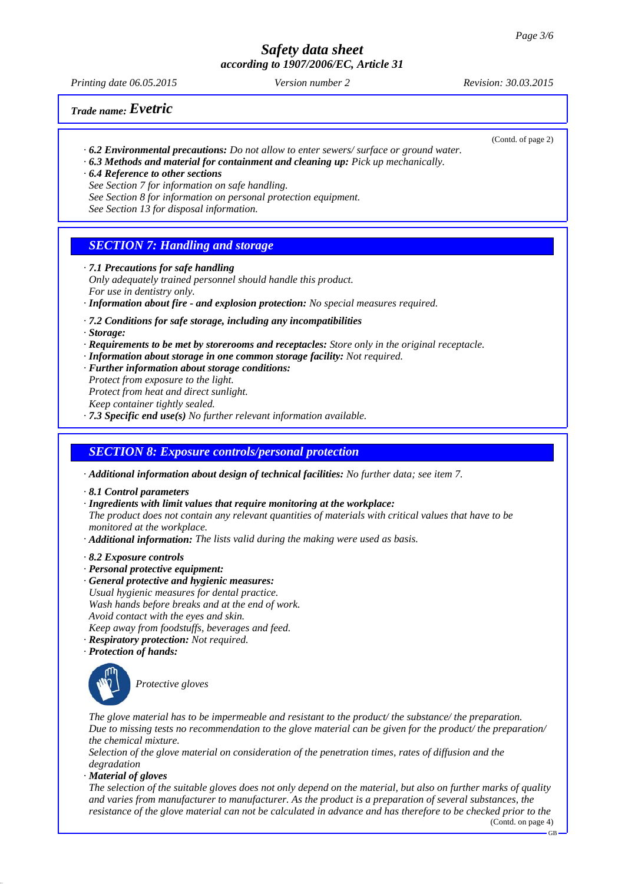*Printing date 06.05.2015 Revision: 30.03.2015 Version number 2*

(Contd. of page 2)

# *Trade name: Evetric*

- *· 6.2 Environmental precautions: Do not allow to enter sewers/ surface or ground water.*
- *· 6.3 Methods and material for containment and cleaning up: Pick up mechanically.*
- *· 6.4 Reference to other sections*
- *See Section 7 for information on safe handling.*
- *See Section 8 for information on personal protection equipment.*
- *See Section 13 for disposal information.*

### *SECTION 7: Handling and storage*

- *· 7.1 Precautions for safe handling*
- *Only adequately trained personnel should handle this product. For use in dentistry only.*
- *· Information about fire and explosion protection: No special measures required.*
- *· 7.2 Conditions for safe storage, including any incompatibilities*
- *· Storage:*
- *· Requirements to be met by storerooms and receptacles: Store only in the original receptacle.*
- *· Information about storage in one common storage facility: Not required.*
- *· Further information about storage conditions:*
- *Protect from exposure to the light. Protect from heat and direct sunlight. Keep container tightly sealed.*
- *· 7.3 Specific end use(s) No further relevant information available.*

### *SECTION 8: Exposure controls/personal protection*

- *· Additional information about design of technical facilities: No further data; see item 7.*
- *· 8.1 Control parameters*
- *· Ingredients with limit values that require monitoring at the workplace:*

*The product does not contain any relevant quantities of materials with critical values that have to be monitored at the workplace.*

- *· Additional information: The lists valid during the making were used as basis.*
- *· 8.2 Exposure controls*
- *· Personal protective equipment:*
- *· General protective and hygienic measures: Usual hygienic measures for dental practice. Wash hands before breaks and at the end of work.*
- *Avoid contact with the eyes and skin.*
- *Keep away from foodstuffs, beverages and feed.*
- *· Respiratory protection: Not required.*
- *· Protection of hands:*



*Protective gloves*

*The glove material has to be impermeable and resistant to the product/ the substance/ the preparation. Due to missing tests no recommendation to the glove material can be given for the product/ the preparation/ the chemical mixture.*

*Selection of the glove material on consideration of the penetration times, rates of diffusion and the degradation*

*· Material of gloves*

*The selection of the suitable gloves does not only depend on the material, but also on further marks of quality and varies from manufacturer to manufacturer. As the product is a preparation of several substances, the resistance of the glove material can not be calculated in advance and has therefore to be checked prior to the*

(Contd. on page 4)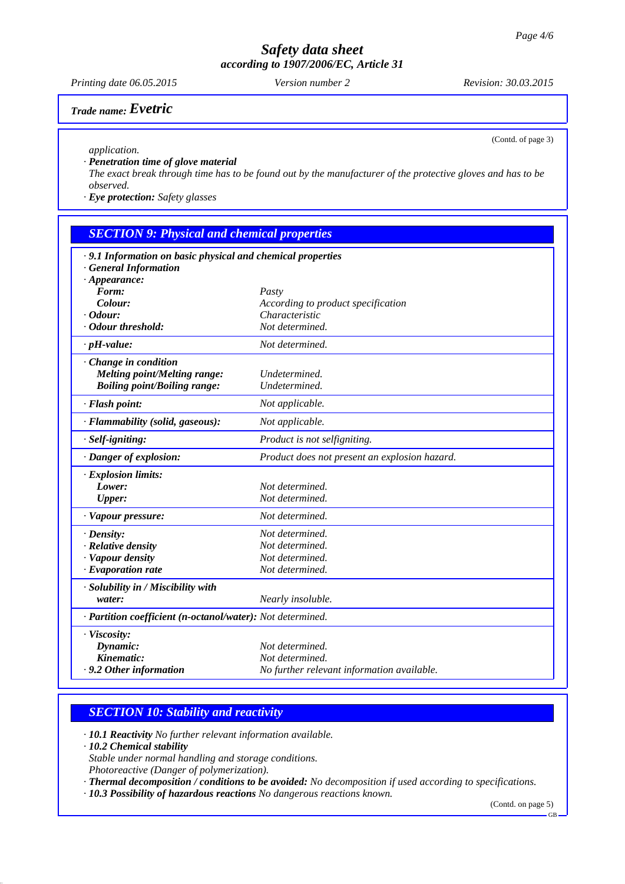*Printing date 06.05.2015 Revision: 30.03.2015 Version number 2*

# *Trade name: Evetric*

(Contd. of page 3)

*application.*

*· Penetration time of glove material*

*The exact break through time has to be found out by the manufacturer of the protective gloves and has to be observed.*

*· Eye protection: Safety glasses*

### *SECTION 9: Physical and chemical properties*

| · 9.1 Information on basic physical and chemical properties<br><b>General Information</b> |                                               |  |  |
|-------------------------------------------------------------------------------------------|-----------------------------------------------|--|--|
| $\cdot$ Appearance:                                                                       |                                               |  |  |
| Form:                                                                                     | Pasty                                         |  |  |
| Colour:                                                                                   | According to product specification            |  |  |
| $\cdot$ Odour:                                                                            | Characteristic                                |  |  |
| Odour threshold:                                                                          | Not determined.                               |  |  |
| $\cdot$ pH-value:                                                                         | Not determined.                               |  |  |
| Change in condition                                                                       |                                               |  |  |
| Melting point/Melting range:                                                              | Undetermined.                                 |  |  |
| <b>Boiling point/Boiling range:</b>                                                       | Undetermined.                                 |  |  |
| · Flash point:                                                                            | Not applicable.                               |  |  |
| · Flammability (solid, gaseous):                                                          | Not applicable.                               |  |  |
| · Self-igniting:                                                                          | Product is not selfigniting.                  |  |  |
| · Danger of explosion:                                                                    | Product does not present an explosion hazard. |  |  |
| · Explosion limits:                                                                       |                                               |  |  |
| Lower:                                                                                    | Not determined.                               |  |  |
| <b>Upper:</b>                                                                             | Not determined.                               |  |  |
| · Vapour pressure:                                                                        | Not determined.                               |  |  |
| $\cdot$ Density:                                                                          | Not determined.                               |  |  |
| · Relative density                                                                        | Not determined.                               |  |  |
| · Vapour density                                                                          | Not determined.                               |  |  |
| · Evaporation rate                                                                        | Not determined.                               |  |  |
| · Solubility in / Miscibility with                                                        |                                               |  |  |
| water:                                                                                    | Nearly insoluble.                             |  |  |
| · Partition coefficient (n-octanol/water): Not determined.                                |                                               |  |  |
| · Viscosity:                                                                              |                                               |  |  |
| Dynamic:                                                                                  | Not determined.                               |  |  |
| Kinematic:                                                                                | Not determined.                               |  |  |
| $\cdot$ 9.2 Other information                                                             | No further relevant information available.    |  |  |

### *SECTION 10: Stability and reactivity*

*· 10.1 Reactivity No further relevant information available.*

*· 10.2 Chemical stability*

*Stable under normal handling and storage conditions. Photoreactive (Danger of polymerization).*

*· Thermal decomposition / conditions to be avoided: No decomposition if used according to specifications.*

*· 10.3 Possibility of hazardous reactions No dangerous reactions known.*

(Contd. on page 5)

 $GB$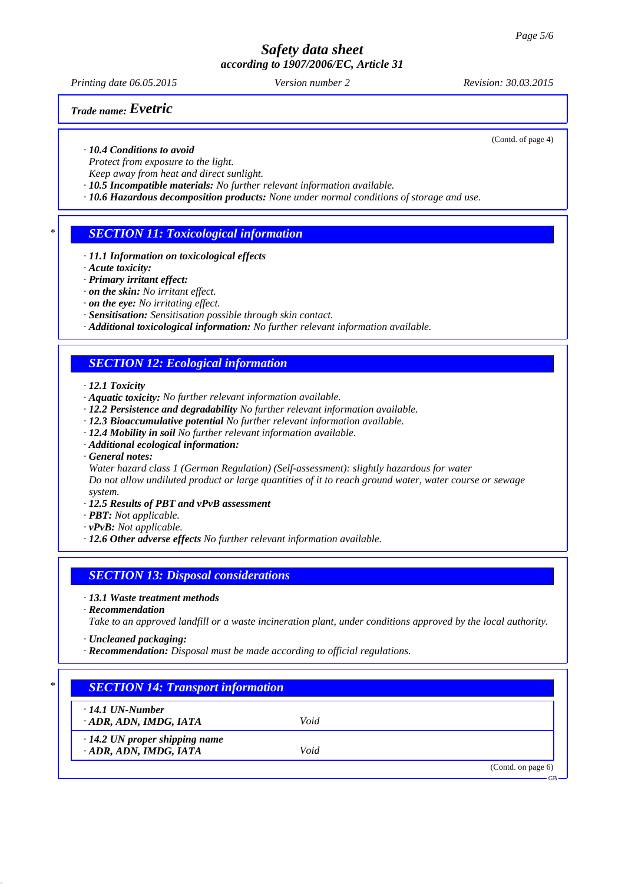*Printing date 06.05.2015 Revision: 30.03.2015 Version number 2*

# *Trade name: Evetric*

(Contd. of page 4)

### *· 10.4 Conditions to avoid*

*Protect from exposure to the light.*

*Keep away from heat and direct sunlight.*

- *· 10.5 Incompatible materials: No further relevant information available.*
- *· 10.6 Hazardous decomposition products: None under normal conditions of storage and use.*

### *\* SECTION 11: Toxicological information*

- *· 11.1 Information on toxicological effects*
- *· Acute toxicity:*
- *· Primary irritant effect:*
- *· on the skin: No irritant effect.*
- *· on the eye: No irritating effect.*
- *· Sensitisation: Sensitisation possible through skin contact.*
- *· Additional toxicological information: No further relevant information available.*

### *SECTION 12: Ecological information*

*· 12.1 Toxicity*

- *· Aquatic toxicity: No further relevant information available.*
- *· 12.2 Persistence and degradability No further relevant information available.*
- *· 12.3 Bioaccumulative potential No further relevant information available.*
- *· 12.4 Mobility in soil No further relevant information available.*
- *· Additional ecological information:*
- *· General notes:*
- *Water hazard class 1 (German Regulation) (Self-assessment): slightly hazardous for water*

*Do not allow undiluted product or large quantities of it to reach ground water, water course or sewage system.*

- *· 12.5 Results of PBT and vPvB assessment*
- *· PBT: Not applicable.*
- *· vPvB: Not applicable.*
- *· 12.6 Other adverse effects No further relevant information available.*

### *SECTION 13: Disposal considerations*

- *· 13.1 Waste treatment methods*
- *· Recommendation*
- *Take to an approved landfill or a waste incineration plant, under conditions approved by the local authority.*
- *· Uncleaned packaging:*
- *· Recommendation: Disposal must be made according to official regulations.*

# *\* SECTION 14: Transport information*

*· 14.1 UN-Number*

*· ADR, ADN, IMDG, IATA Void*

*· 14.2 UN proper shipping name*

*· ADR, ADN, IMDG, IATA Void*

(Contd. on page 6)

GB